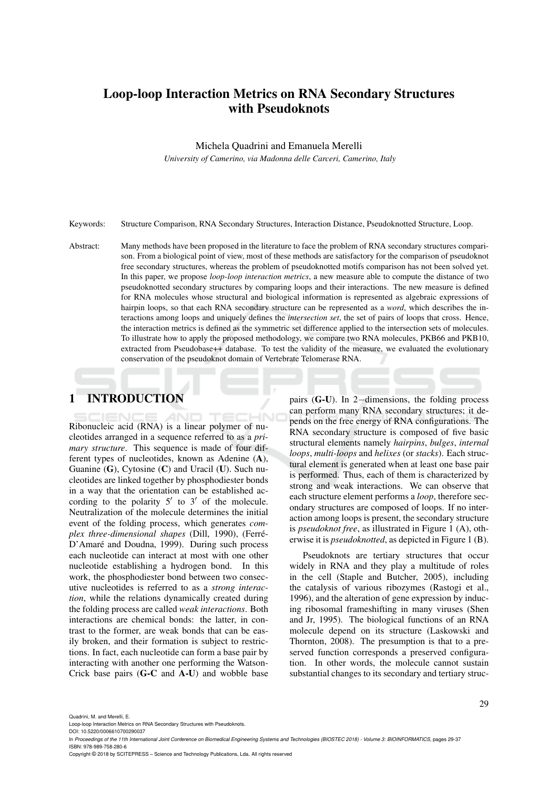# Loop-loop Interaction Metrics on RNA Secondary Structures with Pseudoknots

Michela Quadrini and Emanuela Merelli

*University of Camerino, via Madonna delle Carceri, Camerino, Italy*

Keywords: Structure Comparison, RNA Secondary Structures, Interaction Distance, Pseudoknotted Structure, Loop.

Abstract: Many methods have been proposed in the literature to face the problem of RNA secondary structures comparison. From a biological point of view, most of these methods are satisfactory for the comparison of pseudoknot free secondary structures, whereas the problem of pseudoknotted motifs comparison has not been solved yet. In this paper, we propose *loop-loop interaction metrics*, a new measure able to compute the distance of two pseudoknotted secondary structures by comparing loops and their interactions. The new measure is defined for RNA molecules whose structural and biological information is represented as algebraic expressions of hairpin loops, so that each RNA secondary structure can be represented as a *word*, which describes the interactions among loops and uniquely defines the *intersection set*, the set of pairs of loops that cross. Hence, the interaction metrics is defined as the symmetric set difference applied to the intersection sets of molecules. To illustrate how to apply the proposed methodology, we compare two RNA molecules, PKB66 and PKB10, extracted from Pseudobase++ database. To test the validity of the measure, we evaluated the evolutionary conservation of the pseudoknot domain of Vertebrate Telomerase RNA.

# 1 INTRODUCTION

Ribonucleic acid (RNA) is a linear polymer of nucleotides arranged in a sequence referred to as a *primary structure*. This sequence is made of four different types of nucleotides, known as Adenine (A), Guanine (G), Cytosine (C) and Uracil (U). Such nucleotides are linked together by phosphodiester bonds in a way that the orientation can be established according to the polarity  $5'$  to  $3'$  of the molecule. Neutralization of the molecule determines the initial event of the folding process, which generates *complex three-dimensional shapes* (Dill, 1990), (Ferre-´ D'Amaré and Doudna, 1999). During such process each nucleotide can interact at most with one other nucleotide establishing a hydrogen bond. In this work, the phosphodiester bond between two consecutive nucleotides is referred to as a *strong interaction*, while the relations dynamically created during the folding process are called *weak interactions*. Both interactions are chemical bonds: the latter, in contrast to the former, are weak bonds that can be easily broken, and their formation is subject to restrictions. In fact, each nucleotide can form a base pair by interacting with another one performing the Watson-Crick base pairs (G-C and A-U) and wobble base

pairs (G-U). In 2−dimensions, the folding process can perform many RNA secondary structures; it depends on the free energy of RNA configurations. The RNA secondary structure is composed of five basic structural elements namely *hairpins*, *bulges*, *internal loops*, *multi-loops* and *helixes* (or *stacks*). Each structural element is generated when at least one base pair is performed. Thus, each of them is characterized by strong and weak interactions. We can observe that each structure element performs a *loop*, therefore secondary structures are composed of loops. If no interaction among loops is present, the secondary structure is *pseudoknot free*, as illustrated in Figure 1 (A), otherwise it is *pseudoknotted*, as depicted in Figure 1 (B).

Pseudoknots are tertiary structures that occur widely in RNA and they play a multitude of roles in the cell (Staple and Butcher, 2005), including the catalysis of various ribozymes (Rastogi et al., 1996), and the alteration of gene expression by inducing ribosomal frameshifting in many viruses (Shen and Jr, 1995). The biological functions of an RNA molecule depend on its structure (Laskowski and Thornton, 2008). The presumption is that to a preserved function corresponds a preserved configuration. In other words, the molecule cannot sustain substantial changes to its secondary and tertiary struc-

Quadrini, M. and Merelli, E.

Copyright © 2018 by SCITEPRESS – Science and Technology Publications, Lda. All rights reserved

Loop-loop Interaction Metrics on RNA Secondary Structures with Pseudoknots.

DOI: 10.5220/0006610700290037

In *Proceedings of the 11th International Joint Conference on Biomedical Engineering Systems and Technologies (BIOSTEC 2018) - Volume 3: BIOINFORMATICS*, pages 29-37 ISBN: 978-989-758-280-6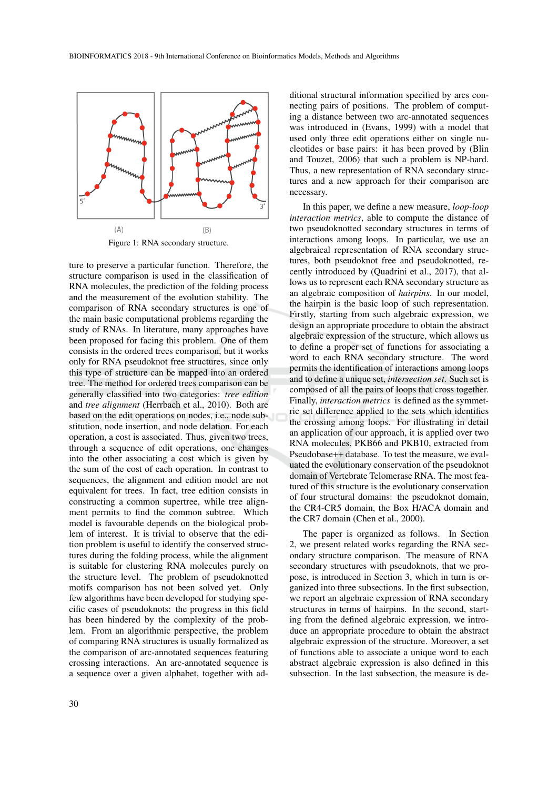

Figure 1: RNA secondary structure.

ture to preserve a particular function. Therefore, the structure comparison is used in the classification of RNA molecules, the prediction of the folding process and the measurement of the evolution stability. The comparison of RNA secondary structures is one of the main basic computational problems regarding the study of RNAs. In literature, many approaches have been proposed for facing this problem. One of them consists in the ordered trees comparison, but it works only for RNA pseudoknot free structures, since only this type of structure can be mapped into an ordered tree. The method for ordered trees comparison can be generally classified into two categories: *tree edition* and *tree alignment* (Herrbach et al., 2010). Both are based on the edit operations on nodes, i.e., node substitution, node insertion, and node delation. For each operation, a cost is associated. Thus, given two trees, through a sequence of edit operations, one changes into the other associating a cost which is given by the sum of the cost of each operation. In contrast to sequences, the alignment and edition model are not equivalent for trees. In fact, tree edition consists in constructing a common supertree, while tree alignment permits to find the common subtree. Which model is favourable depends on the biological problem of interest. It is trivial to observe that the edition problem is useful to identify the conserved structures during the folding process, while the alignment is suitable for clustering RNA molecules purely on the structure level. The problem of pseudoknotted motifs comparison has not been solved yet. Only few algorithms have been developed for studying specific cases of pseudoknots: the progress in this field has been hindered by the complexity of the problem. From an algorithmic perspective, the problem of comparing RNA structures is usually formalized as the comparison of arc-annotated sequences featuring crossing interactions. An arc-annotated sequence is a sequence over a given alphabet, together with ad-

ditional structural information specified by arcs connecting pairs of positions. The problem of computing a distance between two arc-annotated sequences was introduced in (Evans, 1999) with a model that used only three edit operations either on single nucleotides or base pairs: it has been proved by (Blin and Touzet, 2006) that such a problem is NP-hard. Thus, a new representation of RNA secondary structures and a new approach for their comparison are necessary.

In this paper, we define a new measure, *loop-loop interaction metrics*, able to compute the distance of two pseudoknotted secondary structures in terms of interactions among loops. In particular, we use an algebraical representation of RNA secondary structures, both pseudoknot free and pseudoknotted, recently introduced by (Quadrini et al., 2017), that allows us to represent each RNA secondary structure as an algebraic composition of *hairpins*. In our model, the hairpin is the basic loop of such representation. Firstly, starting from such algebraic expression, we design an appropriate procedure to obtain the abstract algebraic expression of the structure, which allows us to define a proper set of functions for associating a word to each RNA secondary structure. The word permits the identification of interactions among loops and to define a unique set, *intersection set*. Such set is composed of all the pairs of loops that cross together. Finally, *interaction metrics* is defined as the symmetric set difference applied to the sets which identifies the crossing among loops. For illustrating in detail an application of our approach, it is applied over two RNA molecules, PKB66 and PKB10, extracted from Pseudobase++ database. To test the measure, we evaluated the evolutionary conservation of the pseudoknot domain of Vertebrate Telomerase RNA. The most featured of this structure is the evolutionary conservation of four structural domains: the pseudoknot domain, the CR4-CR5 domain, the Box H/ACA domain and the CR7 domain (Chen et al., 2000).

The paper is organized as follows. In Section 2, we present related works regarding the RNA secondary structure comparison. The measure of RNA secondary structures with pseudoknots, that we propose, is introduced in Section 3, which in turn is organized into three subsections. In the first subsection, we report an algebraic expression of RNA secondary structures in terms of hairpins. In the second, starting from the defined algebraic expression, we introduce an appropriate procedure to obtain the abstract algebraic expression of the structure. Moreover, a set of functions able to associate a unique word to each abstract algebraic expression is also defined in this subsection. In the last subsection, the measure is de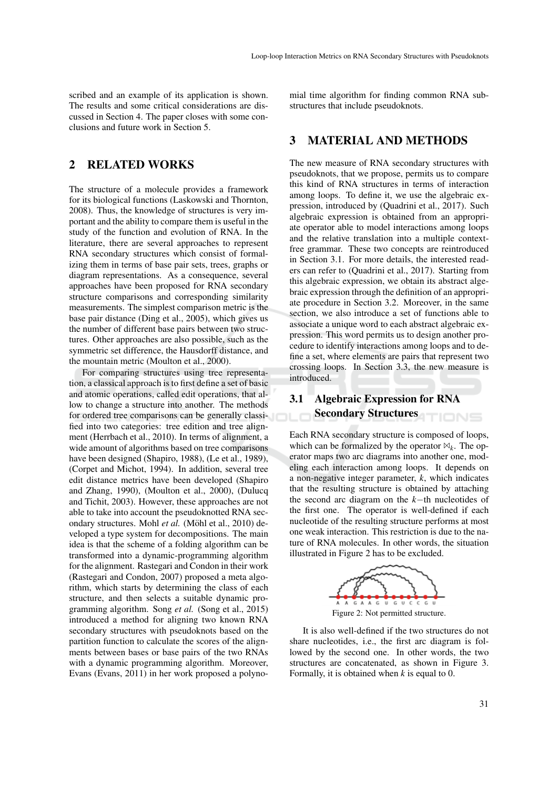scribed and an example of its application is shown. The results and some critical considerations are discussed in Section 4. The paper closes with some conclusions and future work in Section 5.

## 2 RELATED WORKS

The structure of a molecule provides a framework for its biological functions (Laskowski and Thornton, 2008). Thus, the knowledge of structures is very important and the ability to compare them is useful in the study of the function and evolution of RNA. In the literature, there are several approaches to represent RNA secondary structures which consist of formalizing them in terms of base pair sets, trees, graphs or diagram representations. As a consequence, several approaches have been proposed for RNA secondary structure comparisons and corresponding similarity measurements. The simplest comparison metric is the base pair distance (Ding et al., 2005), which gives us the number of different base pairs between two structures. Other approaches are also possible, such as the symmetric set difference, the Hausdorff distance, and the mountain metric (Moulton et al., 2000).

For comparing structures using tree representation, a classical approach is to first define a set of basic and atomic operations, called edit operations, that allow to change a structure into another. The methods for ordered tree comparisons can be generally classified into two categories: tree edition and tree alignment (Herrbach et al., 2010). In terms of alignment, a wide amount of algorithms based on tree comparisons have been designed (Shapiro, 1988), (Le et al., 1989), (Corpet and Michot, 1994). In addition, several tree edit distance metrics have been developed (Shapiro and Zhang, 1990), (Moulton et al., 2000), (Dulucq and Tichit, 2003). However, these approaches are not able to take into account the pseudoknotted RNA secondary structures. Mohl et al. (Möhl et al., 2010) developed a type system for decompositions. The main idea is that the scheme of a folding algorithm can be transformed into a dynamic-programming algorithm for the alignment. Rastegari and Condon in their work (Rastegari and Condon, 2007) proposed a meta algorithm, which starts by determining the class of each structure, and then selects a suitable dynamic programming algorithm. Song *et al.* (Song et al., 2015) introduced a method for aligning two known RNA secondary structures with pseudoknots based on the partition function to calculate the scores of the alignments between bases or base pairs of the two RNAs with a dynamic programming algorithm. Moreover, Evans (Evans, 2011) in her work proposed a polyno-

mial time algorithm for finding common RNA substructures that include pseudoknots.

## 3 MATERIAL AND METHODS

The new measure of RNA secondary structures with pseudoknots, that we propose, permits us to compare this kind of RNA structures in terms of interaction among loops. To define it, we use the algebraic expression, introduced by (Quadrini et al., 2017). Such algebraic expression is obtained from an appropriate operator able to model interactions among loops and the relative translation into a multiple contextfree grammar. These two concepts are reintroduced in Section 3.1. For more details, the interested readers can refer to (Quadrini et al., 2017). Starting from this algebraic expression, we obtain its abstract algebraic expression through the definition of an appropriate procedure in Section 3.2. Moreover, in the same section, we also introduce a set of functions able to associate a unique word to each abstract algebraic expression. This word permits us to design another procedure to identify interactions among loops and to define a set, where elements are pairs that represent two crossing loops. In Section 3.3, the new measure is introduced.

# 3.1 Algebraic Expression for RNA Secondary Structures

Each RNA secondary structure is composed of loops, which can be formalized by the operator  $\mathbb{X}_k$ . The operator maps two arc diagrams into another one, modeling each interaction among loops. It depends on a non-negative integer parameter, *k*, which indicates that the resulting structure is obtained by attaching the second arc diagram on the *k*−th nucleotides of the first one. The operator is well-defined if each nucleotide of the resulting structure performs at most one weak interaction. This restriction is due to the nature of RNA molecules. In other words, the situation illustrated in Figure 2 has to be excluded.



It is also well-defined if the two structures do not share nucleotides, i.e., the first arc diagram is followed by the second one. In other words, the two structures are concatenated, as shown in Figure 3. Formally, it is obtained when *k* is equal to 0.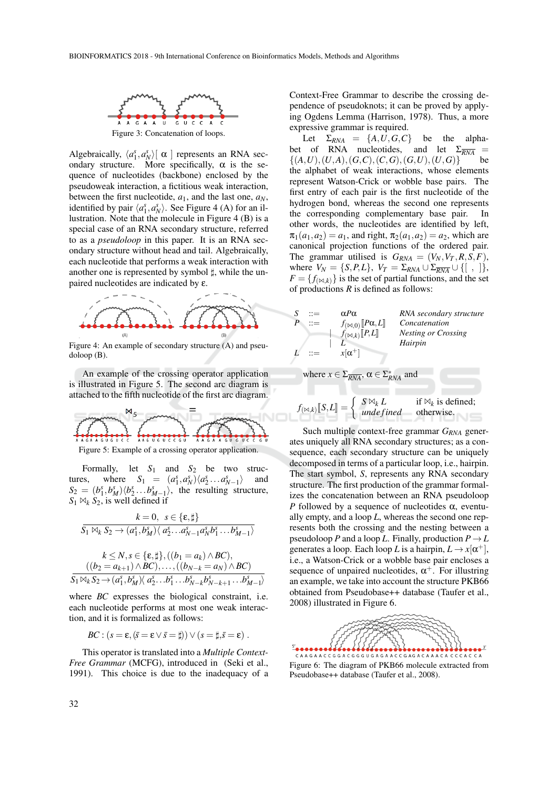

Algebraically,  $\langle a_1^s, a_N^s \rangle$   $\alpha$  ] represents an RNA secondary structure. More specifically,  $\alpha$  is the sequence of nucleotides (backbone) enclosed by the pseudoweak interaction, a fictitious weak interaction, between the first nucleotide,  $a_1$ , and the last one,  $a_N$ , identified by pair  $\langle a_1^s, a_N^s \rangle$ . See Figure 4 (A) for an illustration. Note that the molecule in Figure 4 (B) is a special case of an RNA secondary structure, referred to as a *pseudoloop* in this paper. It is an RNA secondary structure without head and tail. Algebraically, each nucleotide that performs a weak interaction with another one is represented by symbol  $\sharp$ , while the unpaired nucleotides are indicated by ε.



Figure 4: An example of secondary structure (A) and pseudoloop (B).

An example of the crossing operator application is illustrated in Figure 5. The second arc diagram is attached to the fifth nucleotide of the first arc diagram.



Figure 5: Example of a crossing operator application.

Formally, let *S*<sup>1</sup> and *S*<sup>2</sup> be two structures, where  $S_1 = (a_1^s, a_N^s) \langle a_2^s, \dots, a_{N-1}^s \rangle$  and  $S_2 = (b_1^s, b_M^s) \langle b_2^s, \ldots, b_{M-1}^s \rangle$ , the resulting structure,  $S_1 \bowtie_k S_2$ , is well defined if

$$
k = 0, \quad s \in \{\varepsilon, \sharp\}
$$
  

$$
\overline{S_1 \bowtie_k S_2 \rightarrow (a_1^s, b_M^s) \langle a_2^s \dots a_{N-1}^s a_N^s b_1^s \dots b_{M-1}^s \rangle}
$$
  

$$
k \le N, s \in \{\varepsilon, \sharp\}, ((b_1 = a_k) \land BC),
$$
  

$$
((b_2 = a_{k+1}) \land BC), \dots, ((b_{N-k} = a_N) \land BC)
$$
  

$$
\overline{S_1 \bowtie_k S_2 \rightarrow (a_1^s, b_M^s) \langle a_2^s \dots b_1^s \dots b_{N-k}^s b_{N-k+1}^s \dots b_{M-1}^s \rangle}
$$

where *BC* expresses the biological constraint, i.e. each nucleotide performs at most one weak interaction, and it is formalized as follows:

$$
BC:(s=\varepsilon, (\bar{s}=\varepsilon\vee \bar{s}=\sharp))\vee (s=\sharp, \bar{s}=\varepsilon).
$$

This operator is translated into a *Multiple Context-Free Grammar* (MCFG), introduced in (Seki et al., 1991). This choice is due to the inadequacy of a

Context-Free Grammar to describe the crossing dependence of pseudoknots; it can be proved by applying Ogdens Lemma (Harrison, 1978). Thus, a more expressive grammar is required.

Let  $\Sigma_{RNA} = \{A, U, G, C\}$  be the alphabet of RNA nucleotides, and let  $\Sigma_{\overline{RNA}} = \{(A, U), (U, A), (G, C), (C, G), (G, U), (U, G)\}$  $\{(A, U), (U, A), (G, C), (C, G), (G, U), (U, G)\}$ the alphabet of weak interactions, whose elements represent Watson-Crick or wobble base pairs. The first entry of each pair is the first nucleotide of the hydrogen bond, whereas the second one represents the corresponding complementary base pair. In other words, the nucleotides are identified by left,  $\pi_1(a_1, a_2) = a_1$ , and right,  $\pi_2(a_1, a_2) = a_2$ , which are canonical projection functions of the ordered pair. The grammar utilised is  $G_{RNA} = (V_N, V_T, R, S, F)$ , where  $V_N = \{S, P, L\}$ ,  $V_T = \Sigma_{RNA} \cup \Sigma_{\overline{RNA}} \cup \{[\ ,\ ]\}$ ,  $F = \{f_{(\bowtie,k)}\}$  is the set of partial functions, and the set of productions *R* is defined as follows:



where 
$$
x \in \Sigma_{\overline{RNA}}
$$
,  $\alpha \in \Sigma_{\overline{RNA}}^*$  and

$$
f_{(\bowtie,k)}[\![S,L]\!] = \left\{ \begin{array}{ll} S \bowtie_k L & \text{if } \bowtie_k \text{ is defined;} \\ \text{undefined} & \text{otherwise.} \end{array} \right.
$$

Such multiple context-free grammar *GRNA* generates uniquely all RNA secondary structures; as a consequence, each secondary structure can be uniquely decomposed in terms of a particular loop, i.e., hairpin. The start symbol, *S*, represents any RNA secondary structure. The first production of the grammar formalizes the concatenation between an RNA pseudoloop *P* followed by a sequence of nucleotides  $\alpha$ , eventually empty, and a loop *L*, whereas the second one represents both the crossing and the nesting between a pseudoloop *P* and a loop *L*. Finally, production  $P \rightarrow L$ generates a loop. Each loop *L* is a hairpin,  $L \rightarrow x[\alpha^+]$ , i.e., a Watson-Crick or a wobble base pair encloses a sequence of unpaired nucleotides,  $\alpha^+$ . For illustring an example, we take into account the structure PKB66 obtained from Pseudobase++ database (Taufer et al., 2008) illustrated in Figure 6.



Figure 6: The diagram of PKB66 molecule extracted from Pseudobase++ database (Taufer et al., 2008).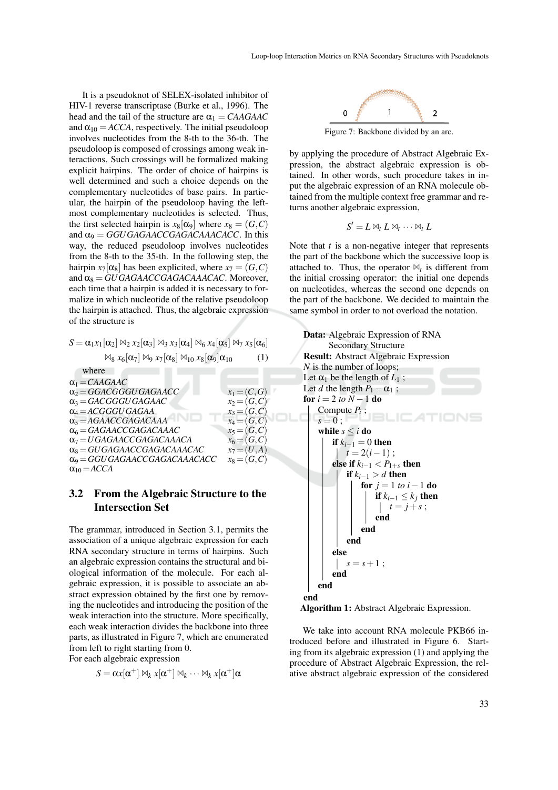It is a pseudoknot of SELEX-isolated inhibitor of HIV-1 reverse transcriptase (Burke et al., 1996). The head and the tail of the structure are  $\alpha_1 = CAAGAAC$ and  $\alpha_{10} = ACCA$ , respectively. The initial pseudoloop involves nucleotides from the 8-th to the 36-th. The pseudoloop is composed of crossings among weak interactions. Such crossings will be formalized making explicit hairpins. The order of choice of hairpins is well determined and such a choice depends on the complementary nucleotides of base pairs. In particular, the hairpin of the pseudoloop having the leftmost complementary nucleotides is selected. Thus, the first selected hairpin is  $x_8[\alpha_9]$  where  $x_8 = (G, C)$ and  $\alpha_9 = GGUGAGAACCGAGACAACACC$ . In this way, the reduced pseudoloop involves nucleotides from the 8-th to the 35-th. In the following step, the hairpin  $x_7[\alpha_8]$  has been explicited, where  $x_7 = (G, C)$ and  $\alpha_8 = GUGAGAACCGAGACAAACAC$ . Moreover, each time that a hairpin is added it is necessary to formalize in which nucleotide of the relative pseudoloop the hairpin is attached. Thus, the algebraic expression of the structure is

$$
S = \alpha_1 x_1 [\alpha_2] \bowtie_2 x_2 [\alpha_3] \bowtie_3 x_3 [\alpha_4] \bowtie_6 x_4 [\alpha_5] \bowtie_7 x_5 [\alpha_6]
$$

 $\mathbb{X}_8$   $x_6[\alpha_7]$   $\mathbb{X}_9$   $x_7[\alpha_8]$   $\mathbb{X}_{10}$   $x_8[\alpha_9]\alpha_{10}$  (1)

where  $\alpha_1 = CAAGAAC$  $\alpha_2 = GGACGGGUGAGAACC$   $x_1 = (C, G)$ <br>  $\alpha_3 = GACGGGUGAGAAC$   $x_2 = (G, C)$  $\alpha_3 = GACGGGUGAGAAC$   $\alpha_4 = ACGGGUGAGAA$   $\alpha_3 = (G,C)$  $\alpha_4 = ACGGGUGAGAA$ <br>  $\alpha_5 = AGAACCGAGACAAA$   $x_4 = (G, C)$  $\alpha_5 = AGAACCGAGACAAA$   $x_4 = (G, C)$ <br>  $\alpha_6 = GAGAACCGAGACAAAC$   $x_5 = (G, C)$  $\alpha_6 = GAGAACCGAGACAAC$   $x_5 = (G, C)$ <br>  $\alpha_7 = UGGAGACCGAGACAAACA$   $x_6 = (G, C)$  $\alpha_7 = UGAGAACCGAGACAAACA$ <br>  $\alpha_8 = GUGAGAACCGAGACAAACAC$ <br>  $x_7 = (U, A)$  $α_8 = GUGAGAACCGAGACAACAC$  $\alpha_9 = GGUGAGAACCGAGACAACACC$   $x_8 = (G,C)$  $\alpha_{10} = ACCA$ 

## 3.2 From the Algebraic Structure to the Intersection Set

The grammar, introduced in Section 3.1, permits the association of a unique algebraic expression for each RNA secondary structure in terms of hairpins. Such an algebraic expression contains the structural and biological information of the molecule. For each algebraic expression, it is possible to associate an abstract expression obtained by the first one by removing the nucleotides and introducing the position of the weak interaction into the structure. More specifically, each weak interaction divides the backbone into three parts, as illustrated in Figure 7, which are enumerated from left to right starting from 0.

For each algebraic expression

$$
S = \alpha x[\alpha^+] \boxtimes_k x[\alpha^+] \boxtimes_k \cdots \boxtimes_k x[\alpha^+] \alpha
$$



Figure 7: Backbone divided by an arc.

by applying the procedure of Abstract Algebraic Expression, the abstract algebraic expression is obtained. In other words, such procedure takes in input the algebraic expression of an RNA molecule obtained from the multiple context free grammar and returns another algebraic expression,

$$
S'=L\boxtimes_t L\boxtimes_t \cdots \boxtimes_t L
$$

Note that *t* is a non-negative integer that represents the part of the backbone which the successive loop is attached to. Thus, the operator  $\mathbb{M}_t$  is different from the initial crossing operator: the initial one depends on nucleotides, whereas the second one depends on the part of the backbone. We decided to maintain the same symbol in order to not overload the notation.





We take into account RNA molecule PKB66 introduced before and illustrated in Figure 6. Starting from its algebraic expression (1) and applying the procedure of Abstract Algebraic Expression, the relative abstract algebraic expression of the considered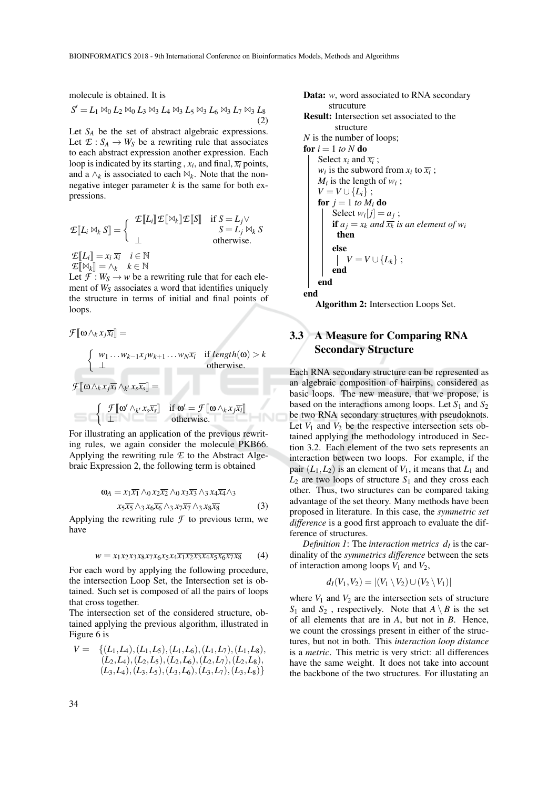molecule is obtained. It is

$$
S' = L_1 \boxtimes_0 L_2 \boxtimes_0 L_3 \boxtimes_3 L_4 \boxtimes_3 L_5 \boxtimes_3 L_6 \boxtimes_3 L_7 \boxtimes_3 L_8
$$
\n(2)

Let *S<sup>A</sup>* be the set of abstract algebraic expressions. Let  $\mathcal{L}: S_A \to W_S$  be a rewriting rule that associates to each abstract expression another expression. Each loop is indicated by its starting ,  $x_i$ , and final,  $\overline{x_i}$  points, and a  $\wedge_k$  is associated to each  $\mathbb{N}_k$ . Note that the nonnegative integer parameter  $k$  is the same for both expressions.

$$
\mathcal{E}[\![L_i \boxtimes_k S]\!] = \left\{ \begin{array}{ll} \mathcal{E}[\![L_i]\!] \mathcal{E}[\![\boxtimes_k]\!] \mathcal{E}[\![S]\!] & \text{if } S = L_j \vee \\ \bot & S = L_j \boxtimes_k S \\ \bot & \text{otherwise.} \end{array} \right.
$$
\n
$$
\mathcal{E}[\![L_i]\!] = x_i \overline{x_i} \quad i \in \mathbb{N}
$$
\n
$$
\mathcal{E}[\![M_i]\!] = \Lambda_i \quad k \in \mathbb{N}
$$

 $E[\mathbb{N}_k] = \wedge_k \quad k \in \mathbb{N}$ Let  $\mathcal{F}: W_S \to w$  be a rewriting rule that for each element of *W<sup>S</sup>* associates a word that identifies uniquely the structure in terms of initial and final points of loops.

$$
\mathcal{F}[\![\omega \wedge_k x_j \overline{x_i}]\!] =
$$
\n
$$
\begin{cases}\nw_1 \dots w_{k-1} x_j w_{k+1} \dots w_N \overline{x_i} & \text{if } length(\omega) > k \\
\bot & \text{otherwise.} \n\end{cases}
$$
\n
$$
\mathcal{F}[\![\omega \wedge_k x_j \overline{x_i} \wedge_{k'} x_s \overline{x_s}]\!] =
$$
\n
$$
\begin{cases}\n\mathcal{F}[\![\omega' \wedge_{k'} x_s \overline{x_s}]\!] & \text{if } \omega' = \mathcal{F}[\![\omega \wedge_k x_j \overline{x_i}]\!] \\
\bot & \text{otherwise.}\n\end{cases}
$$

For illustrating an application of the previous rewriting rules, we again consider the molecule PKB66. Applying the rewriting rule *E* to the Abstract Algebraic Expression 2, the following term is obtained

$$
\omega_A = x_1 \overline{x_1} \wedge_0 x_2 \overline{x_2} \wedge_0 x_3 \overline{x_3} \wedge_3 x_4 \overline{x_4} \wedge_3
$$
  

$$
x_5 \overline{x_5} \wedge_3 x_6 \overline{x_6} \wedge_3 x_7 \overline{x_7} \wedge_3 x_8 \overline{x_8}
$$
 (3)

Applying the rewriting rule  $\mathcal F$  to previous term, we have

$$
w = x_1 x_2 x_3 x_8 x_7 x_6 x_5 x_4 \overline{x_1 x_2 x_3 x_4 x_5 x_6 x_7 x_8} \tag{4}
$$

For each word by applying the following procedure, the intersection Loop Set, the Intersection set is obtained. Such set is composed of all the pairs of loops that cross together.

The intersection set of the considered structure, obtained applying the previous algorithm, illustrated in Figure 6 is

$$
V = \{ (L_1, L_4), (L_1, L_5), (L_1, L_6), (L_1, L_7), (L_1, L_8), (L_2, L_4), (L_2, L_5), (L_2, L_6), (L_2, L_7), (L_2, L_8), (L_3, L_4), (L_3, L_5), (L_3, L_6), (L_3, L_7), (L_3, L_8) \}
$$

**Data:** *w*, word associated to RNA secondary structure  
\n**Result:** Intersection set associated to the structure  
\n*N* is the number of loops;  
\n**for** 
$$
i = 1
$$
 *to N* **do**  
\nSelect  $x_i$  and  $\overline{x_i}$ ;  
\n $w_i$  is the subword from  $x_i$  to  $\overline{x_i}$ ;  
\n $M_i$  is the length of  $w_i$ ;  
\n $V = V \cup \{L_i\}$ ;  
\n**for**  $j = 1$  *to*  $M_i$  **do**  
\nSelect  $w_i[j] = a_j$ ;  
\n**if**  $a_j = x_k$  and  $\overline{x_k}$  is an element of  $w_i$   
\n**then**  
\n**else**  
\n $V = V \cup \{L_k\}$ ;  
\n**end**

end end

Algorithm 2: Intersection Loops Set.

# 3.3 A Measure for Comparing RNA Secondary Structure

Each RNA secondary structure can be represented as an algebraic composition of hairpins, considered as basic loops. The new measure, that we propose, is based on the interactions among loops. Let  $S_1$  and  $S_2$ be two RNA secondary structures with pseudoknots. Let  $V_1$  and  $V_2$  be the respective intersection sets obtained applying the methodology introduced in Section 3.2. Each element of the two sets represents an interaction between two loops. For example, if the pair  $(L_1, L_2)$  is an element of  $V_1$ , it means that  $L_1$  and  $L_2$  are two loops of structure  $S_1$  and they cross each other. Thus, two structures can be compared taking advantage of the set theory. Many methods have been proposed in literature. In this case, the *symmetric set difference* is a good first approach to evaluate the difference of structures.

*Definition 1*: The *interaction metrics*  $d_I$  is the cardinality of the *symmetrics difference* between the sets of interaction among loops  $V_1$  and  $V_2$ ,

$$
d_I(V_1,V_2)=|(V_1\setminus V_2)\cup (V_2\setminus V_1)|
$$

where  $V_1$  and  $V_2$  are the intersection sets of structure *S*<sub>1</sub> and *S*<sub>2</sub> , respectively. Note that  $A \setminus B$  is the set of all elements that are in *A*, but not in *B*. Hence, we count the crossings present in either of the structures, but not in both. This *interaction loop distance* is a *metric*. This metric is very strict: all differences have the same weight. It does not take into account the backbone of the two structures. For illustating an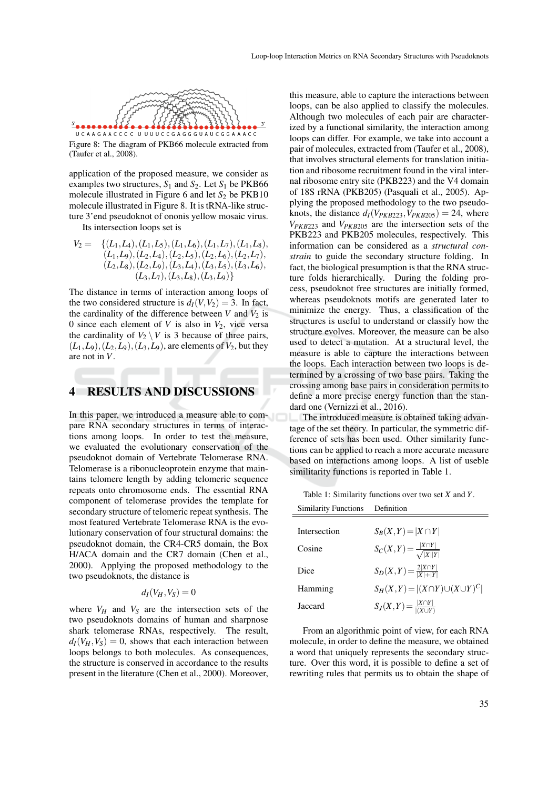

Figure 8: The diagram of PKB66 molecule extracted from (Taufer et al., 2008).

application of the proposed measure, we consider as examples two structures,  $S_1$  and  $S_2$ . Let  $S_1$  be PKB66 molecule illustrated in Figure 6 and let  $S_2$  be PKB10 molecule illustrated in Figure 8. It is tRNA-like structure 3'end pseudoknot of ononis yellow mosaic virus.

Its intersection loops set is

 $V_2 = \{(L_1, L_4), (L_1, L_5), (L_1, L_6), (L_1, L_7), (L_1, L_8),\}$  $(L_1, L_9), (L_2, L_4), (L_2, L_5), (L_2, L_6), (L_2, L_7),$ (*L*2,*L*8),(*L*2,*L*9),(*L*3,*L*4),(*L*3,*L*5),(*L*3,*L*6),  $(L_3, L_7), (L_3, L_8), (L_3, L_9)$ 

The distance in terms of interaction among loops of the two considered structure is  $d_I(V, V_2) = 3$ . In fact, the cardinality of the difference between  $V$  and  $V_2$  is 0 since each element of *V* is also in  $V_2$ , vice versa the cardinality of  $V_2 \setminus V$  is 3 because of three pairs,  $(L_1, L_9), (L_2, L_9), (L_3, L_9)$ , are elements of  $V_2$ , but they are not in *V*.

#### 4 RESULTS AND DISCUSSIONS

In this paper, we introduced a measure able to compare RNA secondary structures in terms of interactions among loops. In order to test the measure, we evaluated the evolutionary conservation of the pseudoknot domain of Vertebrate Telomerase RNA. Telomerase is a ribonucleoprotein enzyme that maintains telomere length by adding telomeric sequence repeats onto chromosome ends. The essential RNA component of telomerase provides the template for secondary structure of telomeric repeat synthesis. The most featured Vertebrate Telomerase RNA is the evolutionary conservation of four structural domains: the pseudoknot domain, the CR4-CR5 domain, the Box H/ACA domain and the CR7 domain (Chen et al., 2000). Applying the proposed methodology to the two pseudoknots, the distance is

### $d_I(V_H, V_S) = 0$

where  $V_H$  and  $V_S$  are the intersection sets of the two pseudoknots domains of human and sharpnose shark telomerase RNAs, respectively. The result,  $d_I(V_H, V_S) = 0$ , shows that each interaction between loops belongs to both molecules. As consequences, the structure is conserved in accordance to the results present in the literature (Chen et al., 2000). Moreover,

this measure, able to capture the interactions between loops, can be also applied to classify the molecules. Although two molecules of each pair are characterized by a functional similarity, the interaction among loops can differ. For example, we take into account a pair of molecules, extracted from (Taufer et al., 2008), that involves structural elements for translation initiation and ribosome recruitment found in the viral internal ribosome entry site (PKB223) and the V4 domain of 18S rRNA (PKB205) (Pasquali et al., 2005). Applying the proposed methodology to the two pseudoknots, the distance  $d_I(V_{PKB223}, V_{PKB205}) = 24$ , where *VPKB*<sup>223</sup> and *VPKB*<sup>205</sup> are the intersection sets of the PKB223 and PKB205 molecules, respectively. This information can be considered as a *structural constrain* to guide the secondary structure folding. In fact, the biological presumption is that the RNA structure folds hierarchically. During the folding process, pseudoknot free structures are initially formed, whereas pseudoknots motifs are generated later to minimize the energy. Thus, a classification of the structures is useful to understand or classify how the structure evolves. Moreover, the measure can be also used to detect a mutation. At a structural level, the measure is able to capture the interactions between the loops. Each interaction between two loops is determined by a crossing of two base pairs. Taking the crossing among base pairs in consideration permits to define a more precise energy function than the standard one (Vernizzi et al., 2016).

The introduced measure is obtained taking advantage of the set theory. In particular, the symmetric difference of sets has been used. Other similarity functions can be applied to reach a more accurate measure based on interactions among loops. A list of useble similitarity functions is reported in Table 1.

Table 1: Similarity functions over two set *X* and *Y*.

| <b>Similarity Functions</b> | Definition                                    |
|-----------------------------|-----------------------------------------------|
|                             |                                               |
| Intersection                | $S_B(X,Y)= X\cap Y $                          |
| Cosine                      | $S_C(X,Y) = \frac{ X \cap Y }{\sqrt{ X  Y }}$ |
| Dice                        | $S_D(X,Y) = \frac{2 X \cap Y }{ X + Y }$      |
| Hamming                     | $S_H(X,Y) =  (X \cap Y) \cup (X \cup Y)^C $   |
| Jaccard                     | $S_J(X,Y) = \frac{ X \cap Y }{ (X \cup Y) }$  |

From an algorithmic point of view, for each RNA molecule, in order to define the measure, we obtained a word that uniquely represents the secondary structure. Over this word, it is possible to define a set of rewriting rules that permits us to obtain the shape of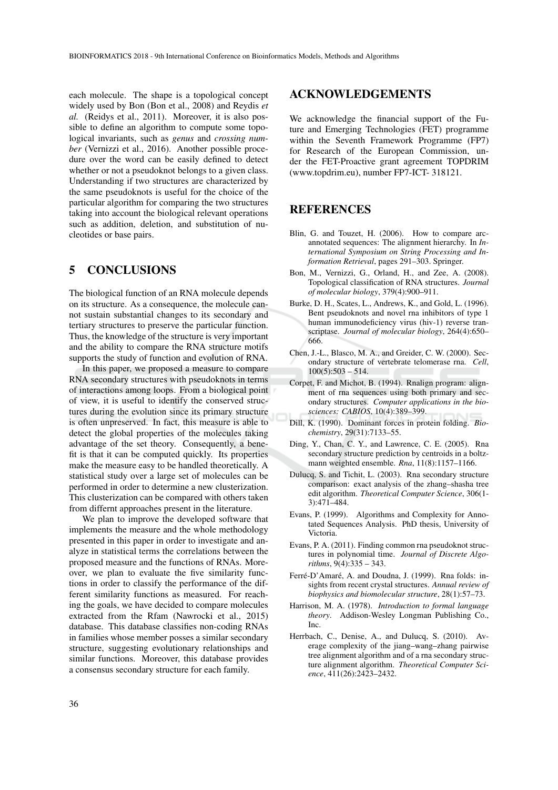each molecule. The shape is a topological concept widely used by Bon (Bon et al., 2008) and Reydis *et al.* (Reidys et al., 2011). Moreover, it is also possible to define an algorithm to compute some topological invariants, such as *genus* and *crossing number* (Vernizzi et al., 2016). Another possible procedure over the word can be easily defined to detect whether or not a pseudoknot belongs to a given class. Understanding if two structures are characterized by the same pseudoknots is useful for the choice of the particular algorithm for comparing the two structures taking into account the biological relevant operations such as addition, deletion, and substitution of nucleotides or base pairs.

## 5 CONCLUSIONS

The biological function of an RNA molecule depends on its structure. As a consequence, the molecule cannot sustain substantial changes to its secondary and tertiary structures to preserve the particular function. Thus, the knowledge of the structure is very important and the ability to compare the RNA structure motifs supports the study of function and evolution of RNA.

In this paper, we proposed a measure to compare RNA secondary structures with pseudoknots in terms of interactions among loops. From a biological point of view, it is useful to identify the conserved structures during the evolution since its primary structure is often unpreserved. In fact, this measure is able to detect the global properties of the molecules taking advantage of the set theory. Consequently, a benefit is that it can be computed quickly. Its properties make the measure easy to be handled theoretically. A statistical study over a large set of molecules can be performed in order to determine a new clusterization. This clusterization can be compared with others taken from differnt approaches present in the literature.

We plan to improve the developed software that implements the measure and the whole methodology presented in this paper in order to investigate and analyze in statistical terms the correlations between the proposed measure and the functions of RNAs. Moreover, we plan to evaluate the five similarity functions in order to classify the performance of the different similarity functions as measured. For reaching the goals, we have decided to compare molecules extracted from the Rfam (Nawrocki et al., 2015) database. This database classifies non-coding RNAs in families whose member posses a similar secondary structure, suggesting evolutionary relationships and similar functions. Moreover, this database provides a consensus secondary structure for each family.

### ACKNOWLEDGEMENTS

We acknowledge the financial support of the Future and Emerging Technologies (FET) programme within the Seventh Framework Programme (FP7) for Research of the European Commission, under the FET-Proactive grant agreement TOPDRIM (www.topdrim.eu), number FP7-ICT- 318121.

### REFERENCES

- Blin, G. and Touzet, H. (2006). How to compare arcannotated sequences: The alignment hierarchy. In *International Symposium on String Processing and Information Retrieval*, pages 291–303. Springer.
- Bon, M., Vernizzi, G., Orland, H., and Zee, A. (2008). Topological classification of RNA structures. *Journal of molecular biology*, 379(4):900–911.
- Burke, D. H., Scates, L., Andrews, K., and Gold, L. (1996). Bent pseudoknots and novel rna inhibitors of type 1 human immunodeficiency virus (hiv-1) reverse transcriptase. *Journal of molecular biology*, 264(4):650– 666.
- Chen, J.-L., Blasco, M. A., and Greider, C. W. (2000). Secondary structure of vertebrate telomerase rna. *Cell*,  $100(5):503 - 514.$
- Corpet, F. and Michot, B. (1994). Rnalign program: alignment of rna sequences using both primary and secondary structures. *Computer applications in the biosciences: CABIOS*, 10(4):389–399.
- Dill, K. (1990). Dominant forces in protein folding. *Biochemistry*, 29(31):7133–55.
- Ding, Y., Chan, C. Y., and Lawrence, C. E. (2005). Rna secondary structure prediction by centroids in a boltzmann weighted ensemble. *Rna*, 11(8):1157–1166.
- Dulucq, S. and Tichit, L. (2003). Rna secondary structure comparison: exact analysis of the zhang–shasha tree edit algorithm. *Theoretical Computer Science*, 306(1- 3):471–484.
- Evans, P. (1999). Algorithms and Complexity for Annotated Sequences Analysis. PhD thesis, University of Victoria.
- Evans, P. A. (2011). Finding common rna pseudoknot structures in polynomial time. *Journal of Discrete Algorithms*, 9(4):335 – 343.
- Ferré-D'Amaré, A. and Doudna, J. (1999). Rna folds: insights from recent crystal structures. *Annual review of biophysics and biomolecular structure*, 28(1):57–73.
- Harrison, M. A. (1978). *Introduction to formal language theory*. Addison-Wesley Longman Publishing Co., Inc.
- Herrbach, C., Denise, A., and Dulucq, S. (2010). Average complexity of the jiang–wang–zhang pairwise tree alignment algorithm and of a rna secondary structure alignment algorithm. *Theoretical Computer Science*, 411(26):2423–2432.